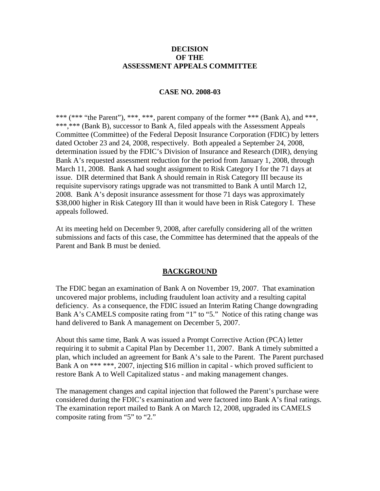### **DECISION OF THE ASSESSMENT APPEALS COMMITTEE**

## **CASE NO. 2008-03**

\*\*\* (\*\*\* "the Parent"), \*\*\*, \*\*\*, parent company of the former \*\*\* (Bank A), and \*\*\*, \*\*\*,\*\*\* (Bank B), successor to Bank A, filed appeals with the Assessment Appeals Committee (Committee) of the Federal Deposit Insurance Corporation (FDIC) by letters dated October 23 and 24, 2008, respectively. Both appealed a September 24, 2008, determination issued by the FDIC's Division of Insurance and Research (DIR), denying Bank A's requested assessment reduction for the period from January 1, 2008, through March 11, 2008. Bank A had sought assignment to Risk Category I for the 71 days at issue. DIR determined that Bank A should remain in Risk Category III because its requisite supervisory ratings upgrade was not transmitted to Bank A until March 12, 2008. Bank A's deposit insurance assessment for those 71 days was approximately \$38,000 higher in Risk Category III than it would have been in Risk Category I. These appeals followed.

At its meeting held on December 9, 2008, after carefully considering all of the written submissions and facts of this case, the Committee has determined that the appeals of the Parent and Bank B must be denied.

### **BACKGROUND**

The FDIC began an examination of Bank A on November 19, 2007. That examination uncovered major problems, including fraudulent loan activity and a resulting capital deficiency. As a consequence, the FDIC issued an Interim Rating Change downgrading Bank A's CAMELS composite rating from "1" to "5." Notice of this rating change was hand delivered to Bank A management on December 5, 2007.

About this same time, Bank A was issued a Prompt Corrective Action (PCA) letter requiring it to submit a Capital Plan by December 11, 2007. Bank A timely submitted a plan, which included an agreement for Bank A's sale to the Parent. The Parent purchased Bank A on \*\*\* \*\*\*, 2007, injecting \$16 million in capital - which proved sufficient to restore Bank A to Well Capitalized status - and making management changes.

The management changes and capital injection that followed the Parent's purchase were considered during the FDIC's examination and were factored into Bank A's final ratings. The examination report mailed to Bank A on March 12, 2008, upgraded its CAMELS composite rating from "5" to "2."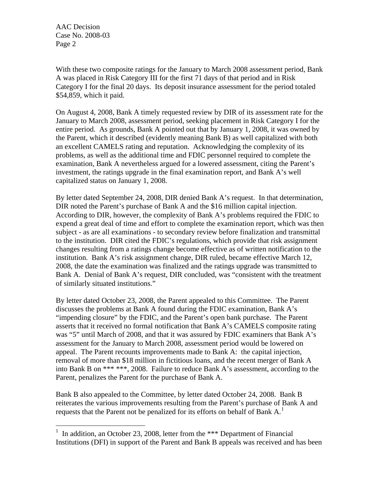$\overline{a}$ 

With these two composite ratings for the January to March 2008 assessment period, Bank A was placed in Risk Category III for the first 71 days of that period and in Risk Category I for the final 20 days. Its deposit insurance assessment for the period totaled \$54,859, which it paid.

On August 4, 2008, Bank A timely requested review by DIR of its assessment rate for the January to March 2008, assessment period, seeking placement in Risk Category I for the entire period. As grounds, Bank A pointed out that by January 1, 2008, it was owned by the Parent, which it described (evidently meaning Bank B) as well capitalized with both an excellent CAMELS rating and reputation. Acknowledging the complexity of its problems, as well as the additional time and FDIC personnel required to complete the examination, Bank A nevertheless argued for a lowered assessment, citing the Parent's investment, the ratings upgrade in the final examination report, and Bank A's well capitalized status on January 1, 2008.

By letter dated September 24, 2008, DIR denied Bank A's request. In that determination, DIR noted the Parent's purchase of Bank A and the \$16 million capital injection. According to DIR, however, the complexity of Bank A's problems required the FDIC to expend a great deal of time and effort to complete the examination report, which was then subject - as are all examinations - to secondary review before finalization and transmittal to the institution. DIR cited the FDIC's regulations, which provide that risk assignment changes resulting from a ratings change become effective as of written notification to the institution. Bank A's risk assignment change, DIR ruled, became effective March 12, 2008, the date the examination was finalized and the ratings upgrade was transmitted to Bank A. Denial of Bank A's request, DIR concluded, was "consistent with the treatment of similarly situated institutions."

By letter dated October 23, 2008, the Parent appealed to this Committee. The Parent discusses the problems at Bank A found during the FDIC examination, Bank A's "impending closure" by the FDIC, and the Parent's open bank purchase. The Parent asserts that it received no formal notification that Bank A's CAMELS composite rating was "5" until March of 2008, and that it was assured by FDIC examiners that Bank A's assessment for the January to March 2008, assessment period would be lowered on appeal. The Parent recounts improvements made to Bank A: the capital injection, removal of more than \$18 million in fictitious loans, and the recent merger of Bank A into Bank B on \*\*\* \*\*\*, 2008. Failure to reduce Bank A's assessment, according to the Parent, penalizes the Parent for the purchase of Bank A.

Bank B also appealed to the Committee, by letter dated October 24, 2008. Bank B reiterates the various improvements resulting from the Parent's purchase of Bank A and requests that the Parent not be penalized for its efforts on behalf of Bank  $A<sup>1</sup>$  $A<sup>1</sup>$  $A<sup>1</sup>$ 

<span id="page-1-0"></span><sup>&</sup>lt;sup>1</sup> In addition, an October 23, 2008, letter from the \*\*\* Department of Financial Institutions (DFI) in support of the Parent and Bank B appeals was received and has been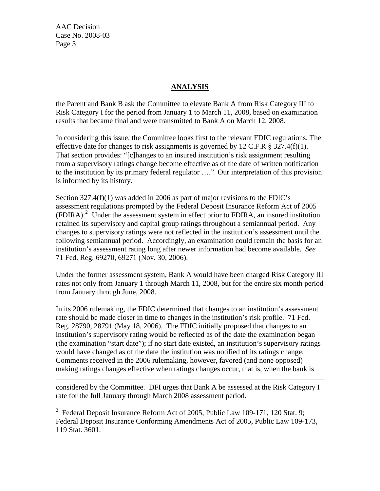$\overline{a}$ 

# **ANALYSIS**

the Parent and Bank B ask the Committee to elevate Bank A from Risk Category III to Risk Category I for the period from January 1 to March 11, 2008, based on examination results that became final and were transmitted to Bank A on March 12, 2008.

In considering this issue, the Committee looks first to the relevant FDIC regulations. The effective date for changes to risk assignments is governed by 12 C.F.R  $\S$  327.4(f)(1). That section provides: "[c]hanges to an insured institution's risk assignment resulting from a supervisory ratings change become effective as of the date of written notification to the institution by its primary federal regulator …." Our interpretation of this provision is informed by its history.

Section 327.4(f)(1) was added in 2006 as part of major revisions to the FDIC's assessment regulations prompted by the Federal Deposit Insurance Reform Act of 2005 (FDIRA).<sup>[2](#page-2-0)</sup> Under the assessment system in effect prior to FDIRA, an insured institution retained its supervisory and capital group ratings throughout a semiannual period. Any changes to supervisory ratings were not reflected in the institution's assessment until the following semiannual period. Accordingly, an examination could remain the basis for an institution's assessment rating long after newer information had become available. *See*  71 Fed. Reg. 69270, 69271 (Nov. 30, 2006).

Under the former assessment system, Bank A would have been charged Risk Category III rates not only from January 1 through March 11, 2008, but for the entire six month period from January through June, 2008.

In its 2006 rulemaking, the FDIC determined that changes to an institution's assessment rate should be made closer in time to changes in the institution's risk profile. 71 Fed. Reg. 28790, 28791 (May 18, 2006). The FDIC initially proposed that changes to an institution's supervisory rating would be reflected as of the date the examination began (the examination "start date"); if no start date existed, an institution's supervisory ratings would have changed as of the date the institution was notified of its ratings change. Comments received in the 2006 rulemaking, however, favored (and none opposed) making ratings changes effective when ratings changes occur, that is, when the bank is

considered by the Committee. DFI urges that Bank A be assessed at the Risk Category I rate for the full January through March 2008 assessment period.

<span id="page-2-0"></span><sup>2</sup> Federal Deposit Insurance Reform Act of 2005, Public Law 109-171, 120 Stat. 9; Federal Deposit Insurance Conforming Amendments Act of 2005, Public Law 109-173, 119 Stat. 3601.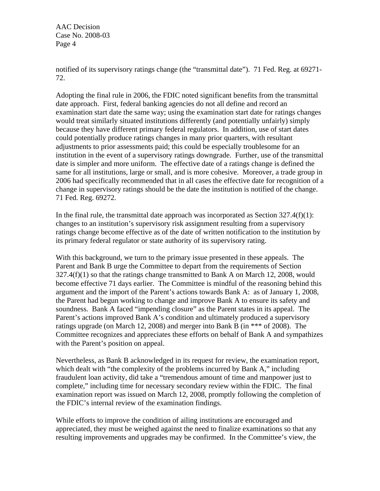notified of its supervisory ratings change (the "transmittal date"). 71 Fed. Reg. at 69271- 72.

Adopting the final rule in 2006, the FDIC noted significant benefits from the transmittal date approach. First, federal banking agencies do not all define and record an examination start date the same way; using the examination start date for ratings changes would treat similarly situated institutions differently (and potentially unfairly) simply because they have different primary federal regulators. In addition, use of start dates could potentially produce ratings changes in many prior quarters, with resultant adjustments to prior assessments paid; this could be especially troublesome for an institution in the event of a supervisory ratings downgrade. Further, use of the transmittal date is simpler and more uniform. The effective date of a ratings change is defined the same for all institutions, large or small, and is more cohesive. Moreover, a trade group in 2006 had specifically recommended that in all cases the effective date for recognition of a change in supervisory ratings should be the date the institution is notified of the change. 71 Fed. Reg. 69272.

In the final rule, the transmittal date approach was incorporated as Section  $327.4(f)(1)$ : changes to an institution's supervisory risk assignment resulting from a supervisory ratings change become effective as of the date of written notification to the institution by its primary federal regulator or state authority of its supervisory rating.

With this background, we turn to the primary issue presented in these appeals. The Parent and Bank B urge the Committee to depart from the requirements of Section  $327.4(f)(1)$  so that the ratings change transmitted to Bank A on March 12, 2008, would become effective 71 days earlier. The Committee is mindful of the reasoning behind this argument and the import of the Parent's actions towards Bank A: as of January 1, 2008, the Parent had begun working to change and improve Bank A to ensure its safety and soundness. Bank A faced "impending closure" as the Parent states in its appeal. The Parent's actions improved Bank A's condition and ultimately produced a supervisory ratings upgrade (on March 12, 2008) and merger into Bank B (in \*\*\* of 2008). The Committee recognizes and appreciates these efforts on behalf of Bank A and sympathizes with the Parent's position on appeal.

Nevertheless, as Bank B acknowledged in its request for review, the examination report, which dealt with "the complexity of the problems incurred by Bank A," including fraudulent loan activity, did take a "tremendous amount of time and manpower just to complete," including time for necessary secondary review within the FDIC. The final examination report was issued on March 12, 2008, promptly following the completion of the FDIC's internal review of the examination findings.

While efforts to improve the condition of ailing institutions are encouraged and appreciated, they must be weighed against the need to finalize examinations so that any resulting improvements and upgrades may be confirmed. In the Committee's view, the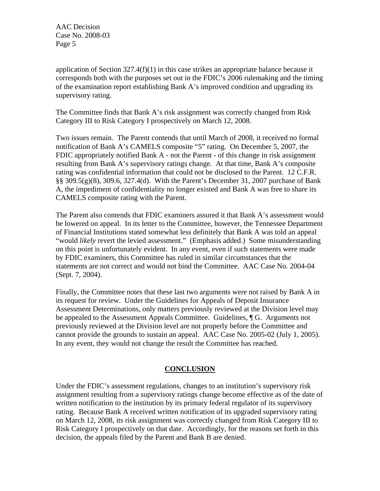application of Section  $327.4(f)(1)$  in this case strikes an appropriate balance because it corresponds both with the purposes set out in the FDIC's 2006 rulemaking and the timing of the examination report establishing Bank A's improved condition and upgrading its supervisory rating.

The Committee finds that Bank A's risk assignment was correctly changed from Risk Category III to Risk Category I prospectively on March 12, 2008.

Two issues remain. The Parent contends that until March of 2008, it received no formal notification of Bank A's CAMELS composite "5" rating. On December 5, 2007, the FDIC appropriately notified Bank A - not the Parent - of this change in risk assignment resulting from Bank A's supervisory ratings change. At that time, Bank A's composite rating was confidential information that could not be disclosed to the Parent. 12 C.F.R. §§ 309.5(g)(8), 309.6, 327.4(d). With the Parent's December 31, 2007 purchase of Bank A, the impediment of confidentiality no longer existed and Bank A was free to share its CAMELS composite rating with the Parent.

The Parent also contends that FDIC examiners assured it that Bank A's assessment would be lowered on appeal. In its letter to the Committee, however, the Tennessee Department of Financial Institutions stated somewhat less definitely that Bank A was told an appeal "would *likely* revert the levied assessment." (Emphasis added.) Some misunderstanding on this point is unfortunately evident. In any event, even if such statements were made by FDIC examiners, this Committee has ruled in similar circumstances that the statements are not correct and would not bind the Committee. AAC Case No. 2004-04 (Sept. 7, 2004).

Finally, the Committee notes that these last two arguments were not raised by Bank A in its request for review. Under the Guidelines for Appeals of Deposit Insurance Assessment Determinations, only matters previously reviewed at the Division level may be appealed to the Assessment Appeals Committee. Guidelines, ¶ G. Arguments not previously reviewed at the Division level are not properly before the Committee and cannot provide the grounds to sustain an appeal. AAC Case No. 2005-02 (July 1, 2005). In any event, they would not change the result the Committee has reached.

### **CONCLUSION**

Under the FDIC's assessment regulations, changes to an institution's supervisory risk assignment resulting from a supervisory ratings change become effective as of the date of written notification to the institution by its primary federal regulator of its supervisory rating. Because Bank A received written notification of its upgraded supervisory rating on March 12, 2008, its risk assignment was correctly changed from Risk Category III to Risk Category I prospectively on that date. Accordingly, for the reasons set forth in this decision, the appeals filed by the Parent and Bank B are denied.